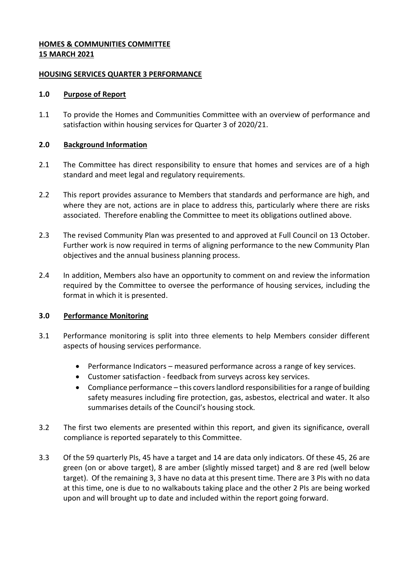# **HOMES & COMMUNITIES COMMITTEE 15 MARCH 2021**

### **HOUSING SERVICES QUARTER 3 PERFORMANCE**

### **1.0 Purpose of Report**

1.1 To provide the Homes and Communities Committee with an overview of performance and satisfaction within housing services for Quarter 3 of 2020/21.

# **2.0 Background Information**

- 2.1 The Committee has direct responsibility to ensure that homes and services are of a high standard and meet legal and regulatory requirements.
- 2.2 This report provides assurance to Members that standards and performance are high, and where they are not, actions are in place to address this, particularly where there are risks associated. Therefore enabling the Committee to meet its obligations outlined above.
- 2.3 The revised Community Plan was presented to and approved at Full Council on 13 October. Further work is now required in terms of aligning performance to the new Community Plan objectives and the annual business planning process.
- 2.4 In addition, Members also have an opportunity to comment on and review the information required by the Committee to oversee the performance of housing services, including the format in which it is presented.

# **3.0 Performance Monitoring**

- 3.1 Performance monitoring is split into three elements to help Members consider different aspects of housing services performance.
	- Performance Indicators measured performance across a range of key services.
	- Customer satisfaction feedback from surveys across key services.
	- Compliance performance this covers landlord responsibilities for a range of building safety measures including fire protection, gas, asbestos, electrical and water. It also summarises details of the Council's housing stock.
- 3.2 The first two elements are presented within this report, and given its significance, overall compliance is reported separately to this Committee.
- 3.3 Of the 59 quarterly PIs, 45 have a target and 14 are data only indicators. Of these 45, 26 are green (on or above target), 8 are amber (slightly missed target) and 8 are red (well below target). Of the remaining 3, 3 have no data at this present time. There are 3 PIs with no data at this time, one is due to no walkabouts taking place and the other 2 PIs are being worked upon and will brought up to date and included within the report going forward.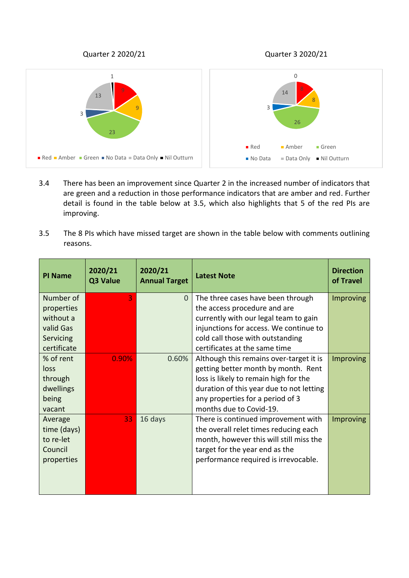Quarter 2 2020/21 Quarter 3 2020/21



- 3.4 There has been an improvement since Quarter 2 in the increased number of indicators that are green and a reduction in those performance indicators that are amber and red. Further detail is found in the table below at 3.5, which also highlights that 5 of the red PIs are improving.
- 3.5 The 8 PIs which have missed target are shown in the table below with comments outlining reasons.

| <b>PI Name</b>                                               | 2020/21<br>Q3 Value | 2020/21<br><b>Annual Target</b> | <b>Latest Note</b>                                                                                                                                                                                | <b>Direction</b><br>of Travel |
|--------------------------------------------------------------|---------------------|---------------------------------|---------------------------------------------------------------------------------------------------------------------------------------------------------------------------------------------------|-------------------------------|
| Number of<br>properties<br>without a                         | 3                   | $\overline{0}$                  | The three cases have been through<br>the access procedure and are                                                                                                                                 | <b>Improving</b>              |
| valid Gas<br>Servicing                                       |                     |                                 | currently with our legal team to gain<br>injunctions for access. We continue to<br>cold call those with outstanding                                                                               |                               |
| certificate<br>% of rent                                     | 0.90%               | 0.60%                           | certificates at the same time<br>Although this remains over-target it is                                                                                                                          | Improving                     |
| loss<br>through<br>dwellings                                 |                     |                                 | getting better month by month. Rent<br>loss is likely to remain high for the<br>duration of this year due to not letting                                                                          |                               |
| being<br>vacant                                              |                     |                                 | any properties for a period of 3<br>months due to Covid-19.                                                                                                                                       |                               |
| Average<br>time (days)<br>to re-let<br>Council<br>properties | 33                  | 16 days                         | There is continued improvement with<br>the overall relet times reducing each<br>month, however this will still miss the<br>target for the year end as the<br>performance required is irrevocable. | Improving                     |
|                                                              |                     |                                 |                                                                                                                                                                                                   |                               |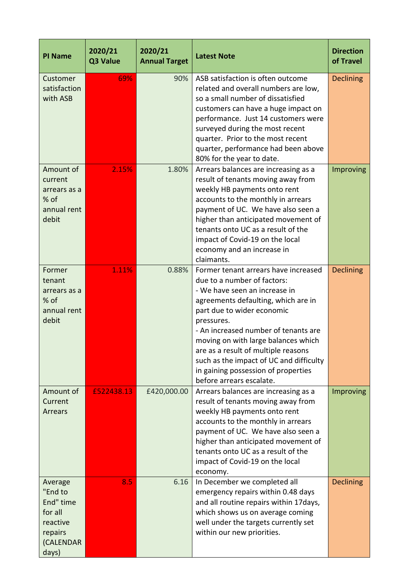| <b>PI Name</b>                                                                          | 2020/21<br>Q3 Value | 2020/21<br><b>Annual Target</b> | <b>Latest Note</b>                                                                                                                                                                                                                                                                                                                                                                                                          | <b>Direction</b><br>of Travel |
|-----------------------------------------------------------------------------------------|---------------------|---------------------------------|-----------------------------------------------------------------------------------------------------------------------------------------------------------------------------------------------------------------------------------------------------------------------------------------------------------------------------------------------------------------------------------------------------------------------------|-------------------------------|
| Customer<br>satisfaction<br>with ASB                                                    | 69%                 | 90%                             | ASB satisfaction is often outcome<br>related and overall numbers are low,<br>so a small number of dissatisfied<br>customers can have a huge impact on<br>performance. Just 14 customers were<br>surveyed during the most recent<br>quarter. Prior to the most recent<br>quarter, performance had been above<br>80% for the year to date.                                                                                    | <b>Declining</b>              |
| Amount of<br>current<br>arrears as a<br>% of<br>annual rent<br>debit                    | 2.15%               | 1.80%                           | Arrears balances are increasing as a<br>result of tenants moving away from<br>weekly HB payments onto rent<br>accounts to the monthly in arrears<br>payment of UC. We have also seen a<br>higher than anticipated movement of<br>tenants onto UC as a result of the<br>impact of Covid-19 on the local<br>economy and an increase in<br>claimants.                                                                          | Improving                     |
| Former<br>tenant<br>arrears as a<br>% of<br>annual rent<br>debit                        | 1.11%               | 0.88%                           | Former tenant arrears have increased<br>due to a number of factors:<br>- We have seen an increase in<br>agreements defaulting, which are in<br>part due to wider economic<br>pressures.<br>- An increased number of tenants are<br>moving on with large balances which<br>are as a result of multiple reasons<br>such as the impact of UC and difficulty<br>in gaining possession of properties<br>before arrears escalate. | <b>Declining</b>              |
| Amount of<br>Current<br>Arrears                                                         | £522438.13          | £420,000.00                     | Arrears balances are increasing as a<br>result of tenants moving away from<br>weekly HB payments onto rent<br>accounts to the monthly in arrears<br>payment of UC. We have also seen a<br>higher than anticipated movement of<br>tenants onto UC as a result of the<br>impact of Covid-19 on the local<br>economy.                                                                                                          | Improving                     |
| Average<br>"End to<br>End" time<br>for all<br>reactive<br>repairs<br>(CALENDAR<br>days) | 8.5                 | 6.16                            | In December we completed all<br>emergency repairs within 0.48 days<br>and all routine repairs within 17days,<br>which shows us on average coming<br>well under the targets currently set<br>within our new priorities.                                                                                                                                                                                                      | <b>Declining</b>              |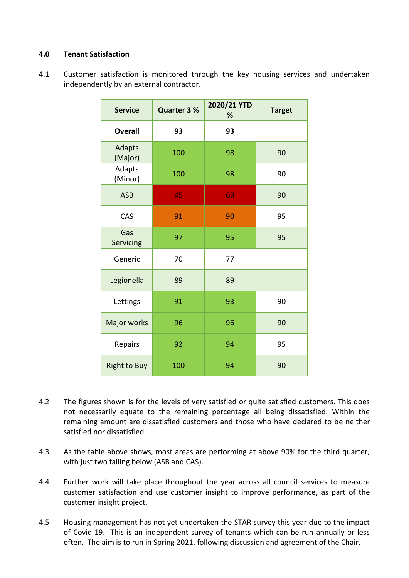# **4.0 Tenant Satisfaction**

4.1 Customer satisfaction is monitored through the key housing services and undertaken independently by an external contractor.

| <b>Service</b>      | <b>Quarter 3 %</b> | 2020/21 YTD<br>% | <b>Target</b> |
|---------------------|--------------------|------------------|---------------|
| <b>Overall</b>      | 93                 | 93               |               |
| Adapts<br>(Major)   | 100                | 98               | 90            |
| Adapts<br>(Minor)   | 100                | 98               | 90            |
| <b>ASB</b>          | 45                 | 69               | 90            |
| CAS                 | 91                 | 90               | 95            |
| Gas<br>Servicing    | 97                 | 95               | 95            |
| Generic             | 70                 | 77               |               |
| Legionella          | 89                 | 89               |               |
| Lettings            | 91                 | 93               | 90            |
| Major works         | 96                 | 96               | 90            |
| Repairs             | 92                 | 94               | 95            |
| <b>Right to Buy</b> | 100                | 94               | 90            |

- 4.2 The figures shown is for the levels of very satisfied or quite satisfied customers. This does not necessarily equate to the remaining percentage all being dissatisfied. Within the remaining amount are dissatisfied customers and those who have declared to be neither satisfied nor dissatisfied.
- 4.3 As the table above shows, most areas are performing at above 90% for the third quarter, with just two falling below (ASB and CAS).
- 4.4 Further work will take place throughout the year across all council services to measure customer satisfaction and use customer insight to improve performance, as part of the customer insight project.
- 4.5 Housing management has not yet undertaken the STAR survey this year due to the impact of Covid-19. This is an independent survey of tenants which can be run annually or less often. The aim is to run in Spring 2021, following discussion and agreement of the Chair.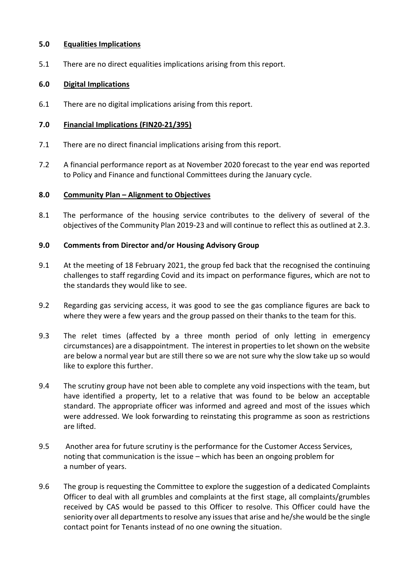### **5.0 Equalities Implications**

5.1 There are no direct equalities implications arising from this report.

## **6.0 Digital Implications**

6.1 There are no digital implications arising from this report.

### **7.0 Financial Implications (FIN20-21/395)**

- 7.1 There are no direct financial implications arising from this report.
- 7.2 A financial performance report as at November 2020 forecast to the year end was reported to Policy and Finance and functional Committees during the January cycle.

## **8.0 Community Plan – Alignment to Objectives**

8.1 The performance of the housing service contributes to the delivery of several of the objectives of the Community Plan 2019-23 and will continue to reflect this as outlined at 2.3.

## **9.0 Comments from Director and/or Housing Advisory Group**

- 9.1 At the meeting of 18 February 2021, the group fed back that the recognised the continuing challenges to staff regarding Covid and its impact on performance figures, which are not to the standards they would like to see.
- 9.2 Regarding gas servicing access, it was good to see the gas compliance figures are back to where they were a few years and the group passed on their thanks to the team for this.
- 9.3 The relet times (affected by a three month period of only letting in emergency circumstances) are a disappointment. The interest in properties to let shown on the website are below a normal year but are still there so we are not sure why the slow take up so would like to explore this further.
- 9.4 The scrutiny group have not been able to complete any void inspections with the team, but have identified a property, let to a relative that was found to be below an acceptable standard. The appropriate officer was informed and agreed and most of the issues which were addressed. We look forwarding to reinstating this programme as soon as restrictions are lifted.
- 9.5 Another area for future scrutiny is the performance for the Customer Access Services, noting that communication is the issue – which has been an ongoing problem for a number of years.
- 9.6 The group is requesting the Committee to explore the suggestion of a dedicated Complaints Officer to deal with all grumbles and complaints at the first stage, all complaints/grumbles received by CAS would be passed to this Officer to resolve. This Officer could have the seniority over all departments to resolve any issues that arise and he/she would be the single contact point for Tenants instead of no one owning the situation.